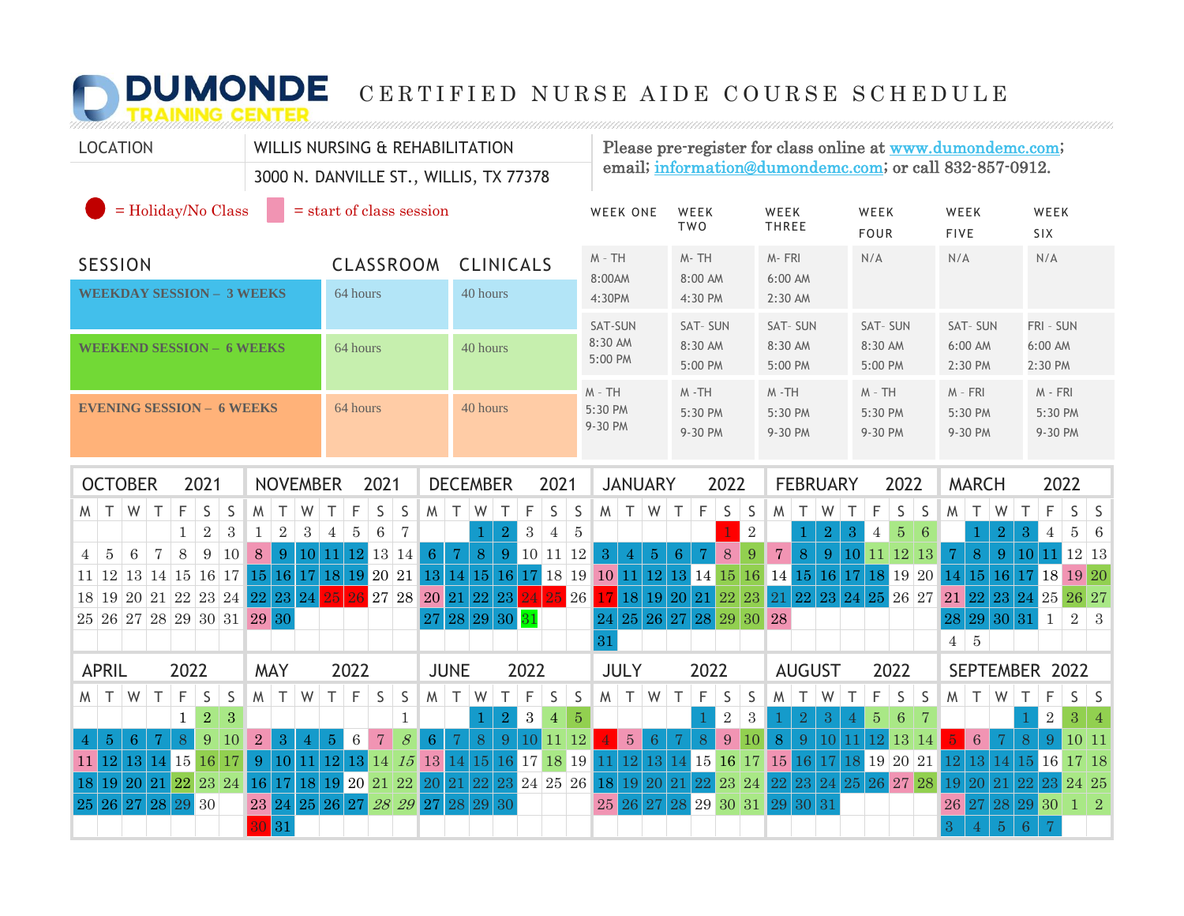## **DUMONDE** CERTIFIED NURSE AIDE COURSE SCHEDULE

| <b>LOCATION</b>                                                                                                                                                 | <b>WILLIS NURSING &amp; REHABILITATION</b>                                                                             |                                                                                                                 |                                                                                                       | Please pre-register for class online at www.dumondemc.com;<br>email; information@dumondemc.com; or call 832-857-0912. |                                                                                               |                                                      |  |  |  |  |  |  |  |  |  |
|-----------------------------------------------------------------------------------------------------------------------------------------------------------------|------------------------------------------------------------------------------------------------------------------------|-----------------------------------------------------------------------------------------------------------------|-------------------------------------------------------------------------------------------------------|-----------------------------------------------------------------------------------------------------------------------|-----------------------------------------------------------------------------------------------|------------------------------------------------------|--|--|--|--|--|--|--|--|--|
|                                                                                                                                                                 | 3000 N. DANVILLE ST., WILLIS, TX 77378                                                                                 |                                                                                                                 |                                                                                                       |                                                                                                                       |                                                                                               |                                                      |  |  |  |  |  |  |  |  |  |
| $=$ Holiday/No Class                                                                                                                                            | $=$ start of class session                                                                                             |                                                                                                                 | WEEK ONE<br>WEEK<br><b>TWO</b>                                                                        | WEEK<br><b>THREE</b><br><b>FOUR</b>                                                                                   | WEEK<br>WEEK<br><b>FIVE</b>                                                                   | WEEK<br>SIX                                          |  |  |  |  |  |  |  |  |  |
| <b>SESSION</b>                                                                                                                                                  | CLASSROOM                                                                                                              | <b>CLINICALS</b>                                                                                                | $M - TH$<br>M-TH<br>8:00AM<br>8:00 AM                                                                 | M-FRI<br>N/A<br>6:00 AM                                                                                               | N/A                                                                                           | N/A                                                  |  |  |  |  |  |  |  |  |  |
| <b>WEEKDAY SESSION - 3 WEEKS</b>                                                                                                                                | 64 hours                                                                                                               | 40 hours                                                                                                        | 4:30PM<br>4:30 PM                                                                                     | 2:30 AM                                                                                                               |                                                                                               |                                                      |  |  |  |  |  |  |  |  |  |
|                                                                                                                                                                 |                                                                                                                        |                                                                                                                 | SAT-SUN<br>SAT-SUN                                                                                    | SAT-SUN                                                                                                               | SAT-SUN<br>SAT-SUN                                                                            | FRI - SUN                                            |  |  |  |  |  |  |  |  |  |
| <b>WEEKEND SESSION - 6 WEEKS</b>                                                                                                                                | 64 hours                                                                                                               | 40 hours                                                                                                        | 8:30 AM<br>8:30 AM<br>5:00 PM<br>5:00 PM                                                              | 8:30 AM<br>5:00 PM                                                                                                    | 8:30 AM<br>6:00 AM<br>5:00 PM<br>2:30 PM                                                      | $6:00$ AM<br>2:30 PM                                 |  |  |  |  |  |  |  |  |  |
|                                                                                                                                                                 |                                                                                                                        |                                                                                                                 | $M - TH$<br>$M - TH$                                                                                  | $M - TH$                                                                                                              | $M - TH$<br>$M - FRI$                                                                         | $M - FRI$                                            |  |  |  |  |  |  |  |  |  |
| <b>EVENING SESSION - 6 WEEKS</b>                                                                                                                                | 64 hours                                                                                                               | 40 hours                                                                                                        | 5:30 PM<br>5:30 PM<br>9-30 PM<br>9-30 PM                                                              | 5:30 PM<br>9-30 PM                                                                                                    | 5:30 PM<br>5:30 PM<br>9-30 PM<br>9-30 PM                                                      | 5:30 PM<br>9-30 PM                                   |  |  |  |  |  |  |  |  |  |
|                                                                                                                                                                 |                                                                                                                        |                                                                                                                 |                                                                                                       |                                                                                                                       |                                                                                               |                                                      |  |  |  |  |  |  |  |  |  |
| <b>OCTOBER</b><br>2021<br><b>NOVEMBER</b>                                                                                                                       | 2021                                                                                                                   | <b>DECEMBER</b><br>2021                                                                                         | <b>JANUARY</b><br>2022                                                                                | <b>FEBRUARY</b>                                                                                                       | 2022<br><b>MARCH</b>                                                                          | 2022                                                 |  |  |  |  |  |  |  |  |  |
| F<br>S<br>T<br>W<br>T<br>S<br>M<br>$\top$<br>W<br>W                                                                                                             | F<br>S<br>$\top$<br>S<br>M                                                                                             | F<br>S<br>$\mathsf S$<br>$\top$<br>W<br>T                                                                       | F<br>$\vert S$<br>S<br>M<br>$\top$<br>W<br>$\top$                                                     | $M$ $T$<br>W<br>$\top$                                                                                                | $\top$<br>F<br>S<br>S<br>M<br>W                                                               | F<br>T<br>S<br>S.                                    |  |  |  |  |  |  |  |  |  |
| $\sqrt{2}$<br>3<br>$\overline{2}$<br>$\mathbf{1}$<br>$\mathbf{1}$<br>8<br>$\overline{5}$<br>$6\phantom{1}6$<br>$\overline{7}$<br>9<br>10<br>8<br>$\overline{4}$ | $\sqrt{3}$<br>$\overline{4}$<br>$\overline{5}$<br>$6\phantom{1}6$<br>$\overline{7}$<br>$11$ 12 13 14<br>6 <sup>1</sup> | $\sqrt{2}$<br>$\sqrt{3}$<br>$\bf 5$<br>$\overline{4}$<br>1<br>8 <sup>°</sup><br>$\mathbf 7$<br>9   10   11   12 | $\sqrt{2}$<br>$\overline{3}$<br>8<br>9                                                                | $\sqrt{3}$<br>$\sqrt{2}$<br>$\overline{8}$<br>$\overline{7}$<br>9                                                     | $\overline{2}$<br>$\overline{5}$<br>6<br>$\overline{4}$<br>$\mathbf 7$<br>8<br>9 <sup>°</sup> | $\bf 5$<br>3<br>$\overline{4}$<br>-6<br>$11$ 12 13   |  |  |  |  |  |  |  |  |  |
| 9<br>$11 \mid 12 \mid 13 \mid 14 \mid 15 \mid 16 \mid 17 \mid 15 \mid 16 \mid 17 \mid 18 \mid 19 \mid 20 \mid 21$                                               | 10 <sup>1</sup>                                                                                                        | 13 14 15 16 17 18 19                                                                                            | $\overline{4}$<br>$\overline{5}$<br>$6\phantom{1}6$<br>7<br>10 11 12 13 14 15 16 14 15 16 17 18 19 20 |                                                                                                                       | 10 11 12 13<br>14<br>15 16                                                                    | 10 <sup>1</sup><br>17 18 19 20                       |  |  |  |  |  |  |  |  |  |
| 18 19 20 21 22 23 24 22 23 24                                                                                                                                   | 27 28<br>2.5<br>96                                                                                                     | 20 21 22<br>23<br>26                                                                                            | 17 18 19 20 21 22 23 21 22                                                                            | 23<br>24                                                                                                              | 25 26 27<br>21<br>22 23                                                                       | 24 25 26 27                                          |  |  |  |  |  |  |  |  |  |
| 25 26 27 28 29 30 31 29 30                                                                                                                                      |                                                                                                                        | 27 28 29 30 31                                                                                                  | 24 25 26 27 28 29 30 28                                                                               |                                                                                                                       | 29 30<br>28                                                                                   | $\overline{2}$<br>$\mathbf{1}$<br>31<br>$\vert$ 3    |  |  |  |  |  |  |  |  |  |
|                                                                                                                                                                 |                                                                                                                        |                                                                                                                 | 31                                                                                                    |                                                                                                                       | $\overline{5}$<br>$4^{\circ}$                                                                 |                                                      |  |  |  |  |  |  |  |  |  |
| 2022<br><b>APRIL</b><br><b>MAY</b>                                                                                                                              | 2022                                                                                                                   | 2022<br><b>JUNE</b>                                                                                             | <b>JULY</b><br>2022                                                                                   | <b>AUGUST</b>                                                                                                         | 2022                                                                                          | SEPTEMBER 2022                                       |  |  |  |  |  |  |  |  |  |
| F<br>S<br>S<br>$M$ T<br>W<br>Τ<br>W<br>T<br>M                                                                                                                   | $T \mid F$<br>S<br>S                                                                                                   | F<br>$\mathsf S$<br>$\mathsf S$<br>$M$ T<br>W<br>T                                                              | $\mathsf F$<br>$\mathsf S$<br>M<br>$\top$<br>W<br>$\top$<br>S                                         | $M$ T $W$<br>$\top$                                                                                                   | F<br>$\mathsf S$<br>$\mathsf S$<br>W<br>$\top$<br>W                                           | S<br>$\top$<br>F<br>$\vert$ S                        |  |  |  |  |  |  |  |  |  |
| $\overline{2}$<br>$\mathbf{1}$<br>3                                                                                                                             | $\mathbf{1}$                                                                                                           | $\mathbf{3}$<br> 5<br>$\sqrt{2}$<br>$\overline{4}$<br>1                                                         | $\overline{2}$<br>$\sqrt{3}$                                                                          | $\sqrt{2}$<br>$\overline{3}$                                                                                          | $\overline{5}$<br>6<br>7                                                                      | $\sqrt{2}$<br>$3 \mid 4$                             |  |  |  |  |  |  |  |  |  |
| 9<br>8<br>10<br>$\overline{2}$<br>5 <sub>5</sub><br>6<br>3<br>$\overline{4}$<br>7                                                                               | $\overline{7}$<br>$\mathcal{S}_{\mathcal{S}}$<br>6 <sup>1</sup><br>$\,6\,$<br>$\overline{5}$<br>4                      | 8<br>9<br>11 12<br>$\overline{7}$<br>10                                                                         | $5\,$<br>8<br>9<br> 10 <br>7<br>6                                                                     | 8<br>9 <sup>°</sup><br>10                                                                                             | $6\phantom{1}6$<br>13<br>-14                                                                  | 8<br>10 11<br>9                                      |  |  |  |  |  |  |  |  |  |
| 12 <sup>1</sup><br>13<br>14 15 16 17<br>9<br>10 <sup>1</sup><br>11                                                                                              | $12$ $13$<br>11<br>14<br>13 14<br> 15                                                                                  | 16 17 18 19<br> 15                                                                                              | 13 14 15 16 17<br> 12 <br>11 <sup>1</sup>                                                             | 15 16<br>17                                                                                                           | 18 19 20 21<br>12<br>13 <sup>°</sup><br>14                                                    | 15 16 17 18                                          |  |  |  |  |  |  |  |  |  |
| 21 22 23 24<br>16 <sup>°</sup><br>19 20<br>18                                                                                                                   | 17 18 19 20 21 22<br>20 21                                                                                             | 22 <br>23 24 25 26 18                                                                                           | 19 20 21 22 23 24                                                                                     | 22 23<br>24                                                                                                           | 25 26 27 28<br>19<br>21<br>20 <sup>1</sup>                                                    | 22<br>24 25                                          |  |  |  |  |  |  |  |  |  |
| 26 27<br>25<br>28<br>29 30<br>24<br>23<br>31<br>30                                                                                                              | 25 26 27<br>28 29 27 28                                                                                                | 29 30                                                                                                           | 27 28 29 30 31 29<br>25 26                                                                            | 31<br>30                                                                                                              | 27 <sup>°</sup><br>28<br>26<br>5 <sup>5</sup><br>$\mathbf{3}$<br>4                            | 29 30<br>$1 \mid 2$<br>$\overline{7}$<br>$6^{\circ}$ |  |  |  |  |  |  |  |  |  |